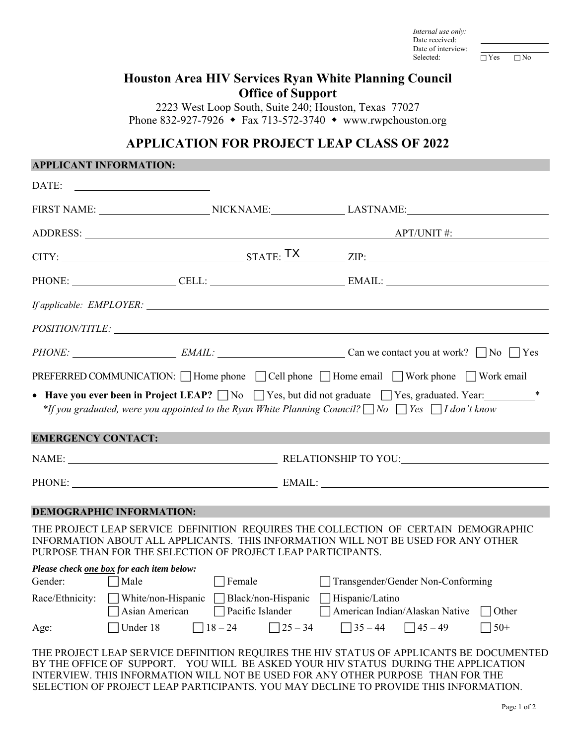*Internal use only:*  Date received: Date of interview:<br>Selected:

 $\Box$  Yes  $\Box$  No

### **Houston Area HIV Services Ryan White Planning Council Office of Support**

2223 West Loop South, Suite 240; Houston, Texas 77027 Phone 832-927-7926  $\bullet$  Fax 713-572-3740  $\bullet$  www.rwpchouston.org

## **APPLICATION FOR PROJECT LEAP CLASS OF 2022**

#### **APPLICANT INFORMATION:**

| DATE:                                                               |                                                                       |                                                                                                                                                                                                                                     |
|---------------------------------------------------------------------|-----------------------------------------------------------------------|-------------------------------------------------------------------------------------------------------------------------------------------------------------------------------------------------------------------------------------|
|                                                                     |                                                                       |                                                                                                                                                                                                                                     |
|                                                                     |                                                                       | ADDRESS: <u>APT/UNIT #:</u>                                                                                                                                                                                                         |
|                                                                     |                                                                       | $CITY:$ $ZIP:$ $ZIP:$ $ZIP:$                                                                                                                                                                                                        |
|                                                                     |                                                                       | PHONE: CELL: CELL: EMAIL:                                                                                                                                                                                                           |
|                                                                     |                                                                       | <i>If applicable: EMPLOYER:</i>                                                                                                                                                                                                     |
|                                                                     |                                                                       |                                                                                                                                                                                                                                     |
|                                                                     |                                                                       |                                                                                                                                                                                                                                     |
|                                                                     |                                                                       | PREFERRED COMMUNICATION: □ Home phone □ Cell phone □ Home email □ Work phone □ Work email                                                                                                                                           |
|                                                                     |                                                                       | • Have you ever been in Project LEAP? $\Box$ No $\Box$ Yes, but did not graduate $\Box$ Yes, graduated. Year:<br>*If you graduated, were you appointed to the Ryan White Planning Council? $\Box$ No $\Box$ Yes $\Box$ I don't know |
| <b>EMERGENCY CONTACT:</b>                                           |                                                                       |                                                                                                                                                                                                                                     |
|                                                                     |                                                                       | NAME: RELATIONSHIP TO YOU:                                                                                                                                                                                                          |
|                                                                     |                                                                       | PHONE: EMAIL: EMAIL:                                                                                                                                                                                                                |
| <b>DEMOGRAPHIC INFORMATION:</b>                                     |                                                                       |                                                                                                                                                                                                                                     |
|                                                                     | PURPOSE THAN FOR THE SELECTION OF PROJECT LEAP PARTICIPANTS.          | THE PROJECT LEAP SERVICE DEFINITION REQUIRES THE COLLECTION OF CERTAIN DEMOGRAPHIC<br>INFORMATION ABOUT ALL APPLICANTS. THIS INFORMATION WILL NOT BE USED FOR ANY OTHER                                                             |
| Please check one box for each item below:<br>Gender:<br>$\Box$ Male | $\Box$ Female                                                         | Transgender/Gender Non-Conforming                                                                                                                                                                                                   |
|                                                                     | Race/Ethnicity: White/non-Hispanic Black/non-Hispanic Hispanic/Latino | □ Asian American □ Pacific Islander □ American Indian/Alaskan Native<br>$\Box$ Other                                                                                                                                                |
| Age:                                                                | $\Box$ Under 18                                                       | $\Box$ 18 - 24 $\Box$ 25 - 34 $\Box$ 35 - 44 $\Box$ 45 - 49<br>$ 50+$                                                                                                                                                               |
|                                                                     |                                                                       | THE PROJECT LEAP SERVICE DEFINITION REQUIRES THE HIV STATUS OF APPLICANTS BE DOCUMENTED<br>BY THE OFFICE OF SUPPORT. YOU WILL BE ASKED YOUR HIV STATUS DURING THE APPLICATION                                                       |

INTERVIEW. THIS INFORMATION WILL NOT BE USED FOR ANY OTHER PURPOSE THAN FOR THE SELECTION OF PROJECT LEAP PARTICIPANTS. YOU MAY DECLINE TO PROVIDE THIS INFORMATION.